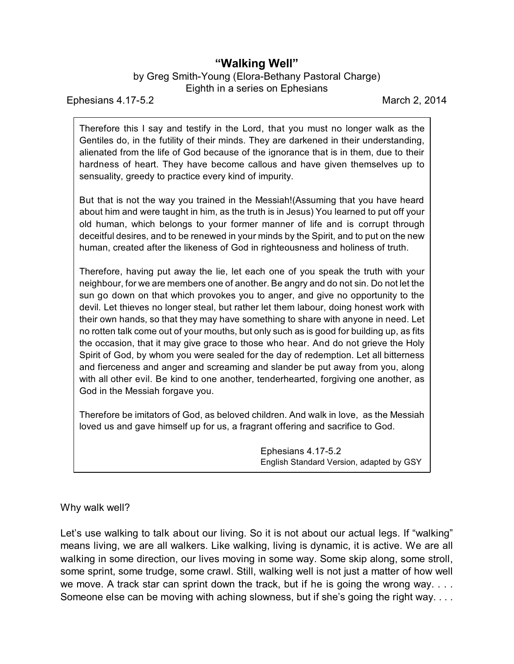## **"Walking Well"**

## by Greg Smith-Young (Elora-Bethany Pastoral Charge) Eighth in a series on Ephesians

Ephesians 4.17-5.2 March 2, 2014

Therefore this I say and testify in the Lord, that you must no longer walk as the Gentiles do, in the futility of their minds. They are darkened in their understanding, alienated from the life of God because of the ignorance that is in them, due to their hardness of heart. They have become callous and have given themselves up to sensuality, greedy to practice every kind of impurity.

But that is not the way you trained in the Messiah!(Assuming that you have heard about him and were taught in him, as the truth is in Jesus) You learned to put off your old human, which belongs to your former manner of life and is corrupt through deceitful desires, and to be renewed in your minds by the Spirit, and to put on the new human, created after the likeness of God in righteousness and holiness of truth.

Therefore, having put away the lie, let each one of you speak the truth with your neighbour, for we are members one of another. Be angry and do not sin. Do not let the sun go down on that which provokes you to anger, and give no opportunity to the devil. Let thieves no longer steal, but rather let them labour, doing honest work with their own hands, so that they may have something to share with anyone in need. Let no rotten talk come out of your mouths, but only such as is good for building up, as fits the occasion, that it may give grace to those who hear. And do not grieve the Holy Spirit of God, by whom you were sealed for the day of redemption. Let all bitterness and fierceness and anger and screaming and slander be put away from you, along with all other evil. Be kind to one another, tenderhearted, forgiving one another, as God in the Messiah forgave you.

Therefore be imitators of God, as beloved children. And walk in love, as the Messiah loved us and gave himself up for us, a fragrant offering and sacrifice to God.

> Ephesians 4.17-5.2 English Standard Version, adapted by GSY

Why walk well?

Let's use walking to talk about our living. So it is not about our actual legs. If "walking" means living, we are all walkers. Like walking, living is dynamic, it is active. We are all walking in some direction, our lives moving in some way. Some skip along, some stroll, some sprint, some trudge, some crawl. Still, walking well is not just a matter of how well we move. A track star can sprint down the track, but if he is going the wrong way. . . . Someone else can be moving with aching slowness, but if she's going the right way. . . .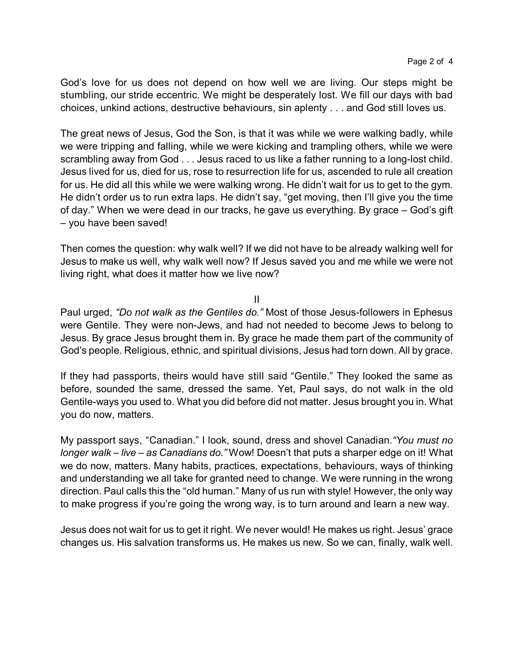God's love for us does not depend on how well we are living. Our steps might be stumbling, our stride eccentric. We might be desperately lost. We fill our days with bad choices, unkind actions, destructive behaviours, sin aplenty . . . and God still loves us.

The great news of Jesus, God the Son, is that it was while we were walking badly, while we were tripping and falling, while we were kicking and trampling others, while we were scrambling away from God . . . Jesus raced to us like a father running to a long-lost child. Jesus lived for us, died for us, rose to resurrection life for us, ascended to rule all creation for us. He did all this while we were walking wrong. He didn't wait for us to get to the gym. He didn't order us to run extra laps. He didn't say, "get moving, then I'll give you the time of day." When we were dead in our tracks, he gave us everything. By grace – God's gift – you have been saved!

Then comes the question: why walk well? If we did not have to be already walking well for Jesus to make us well, why walk well now? If Jesus saved you and me while we were not living right, what does it matter how we live now?

## II

Paul urged, *"Do not walk as the Gentiles do."* Most of those Jesus-followers in Ephesus were Gentile. They were non-Jews, and had not needed to become Jews to belong to Jesus. By grace Jesus brought them in. By grace he made them part of the community of God's people. Religious, ethnic, and spiritual divisions, Jesus had torn down. All by grace.

If they had passports, theirs would have still said "Gentile." They looked the same as before, sounded the same, dressed the same. Yet, Paul says, do not walk in the old Gentile-ways you used to. What you did before did not matter. Jesus brought you in. What you do now, matters.

My passport says, "Canadian." I look, sound, dress and shovel Canadian.*"You must no longer walk – live – as Canadians do."* Wow! Doesn't that puts a sharper edge on it! What we do now, matters. Many habits, practices, expectations, behaviours, ways of thinking and understanding we all take for granted need to change. We were running in the wrong direction. Paul calls this the "old human." Many of us run with style! However, the only way to make progress if you're going the wrong way, is to turn around and learn a new way.

Jesus does not wait for us to get it right. We never would! He makes us right. Jesus' grace changes us. His salvation transforms us. He makes us new. So we can, finally, walk well.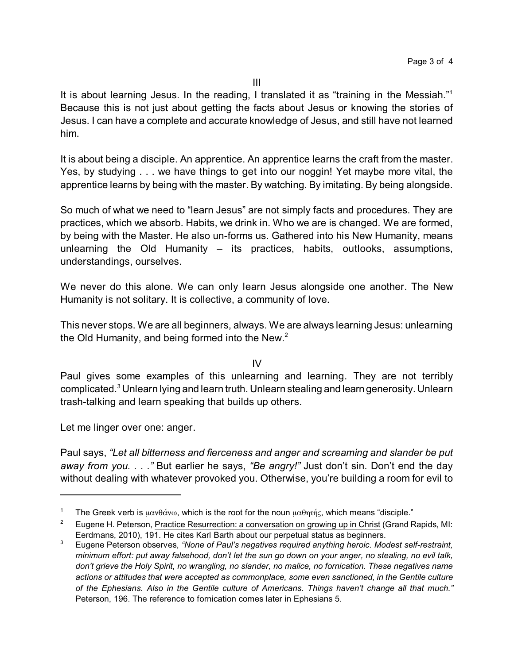It is about learning Jesus. In the reading, I translated it as "training in the Messiah."<sup>1</sup> Because this is not just about getting the facts about Jesus or knowing the stories of Jesus. I can have a complete and accurate knowledge of Jesus, and still have not learned him.

It is about being a disciple. An apprentice. An apprentice learns the craft from the master. Yes, by studying . . . we have things to get into our noggin! Yet maybe more vital, the apprentice learns by being with the master. By watching. By imitating. By being alongside.

So much of what we need to "learn Jesus" are not simply facts and procedures. They are practices, which we absorb. Habits, we drink in. Who we are is changed. We are formed, by being with the Master. He also un-forms us. Gathered into his New Humanity, means unlearning the Old Humanity – its practices, habits, outlooks, assumptions, understandings, ourselves.

We never do this alone. We can only learn Jesus alongside one another. The New Humanity is not solitary. It is collective, a community of love.

This never stops. We are all beginners, always. We are always learning Jesus: unlearning the Old Humanity, and being formed into the New.<sup>2</sup>

IV

Paul gives some examples of this unlearning and learning. They are not terribly complicated.<sup>3</sup> Unlearn lying and learn truth. Unlearn stealing and learn generosity. Unlearn trash-talking and learn speaking that builds up others.

Let me linger over one: anger.

Paul says, *"Let all bitterness and fierceness and anger and screaming and slander be put away from you. . . ."* But earlier he says, *"Be angry!"* Just don't sin. Don't end the day without dealing with whatever provoked you. Otherwise, you're building a room for evil to

The Greek verb is  $\mu\alpha\nu\theta\dot{\alpha}\nu\omega$ , which is the root for the noun  $\mu\alpha\theta\eta\tau\dot{\eta}\zeta$ , which means "disciple."

<sup>2</sup> Eugene H. Peterson, Practice Resurrection: a conversation on growing up in Christ (Grand Rapids, MI: Eerdmans, 2010), 191. He cites Karl Barth about our perpetual status as beginners.

<sup>3</sup> Eugene Peterson observes, *"None of Paul's negatives required anything heroic. Modest self-restraint, minimum effort: put away falsehood, don't let the sun go down on your anger, no stealing, no evil talk, don't grieve the Holy Spirit, no wrangling, no slander, no malice, no fornication. These negatives name actions or attitudes that were accepted as commonplace, some even sanctioned, in the Gentile culture of the Ephesians. Also in the Gentile culture of Americans. Things haven't change all that much."* Peterson, 196. The reference to fornication comes later in Ephesians 5.